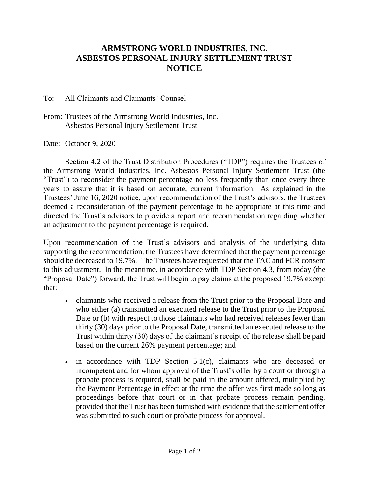## **ARMSTRONG WORLD INDUSTRIES, INC. ASBESTOS PERSONAL INJURY SETTLEMENT TRUST NOTICE**

To: All Claimants and Claimants' Counsel

From: Trustees of the Armstrong World Industries, Inc. Asbestos Personal Injury Settlement Trust

Date: October 9, 2020

Section 4.2 of the Trust Distribution Procedures ("TDP") requires the Trustees of the Armstrong World Industries, Inc. Asbestos Personal Injury Settlement Trust (the "Trust") to reconsider the payment percentage no less frequently than once every three years to assure that it is based on accurate, current information. As explained in the Trustees' June 16, 2020 notice, upon recommendation of the Trust's advisors, the Trustees deemed a reconsideration of the payment percentage to be appropriate at this time and directed the Trust's advisors to provide a report and recommendation regarding whether an adjustment to the payment percentage is required.

Upon recommendation of the Trust's advisors and analysis of the underlying data supporting the recommendation, the Trustees have determined that the payment percentage should be decreased to 19.7%. The Trustees have requested that the TAC and FCR consent to this adjustment. In the meantime, in accordance with TDP Section 4.3, from today (the "Proposal Date") forward, the Trust will begin to pay claims at the proposed 19.7% except that:

- claimants who received a release from the Trust prior to the Proposal Date and who either (a) transmitted an executed release to the Trust prior to the Proposal Date or (b) with respect to those claimants who had received releases fewer than thirty (30) days prior to the Proposal Date, transmitted an executed release to the Trust within thirty (30) days of the claimant's receipt of the release shall be paid based on the current 26% payment percentage; and
- $\bullet$  in accordance with TDP Section 5.1(c), claimants who are deceased or incompetent and for whom approval of the Trust's offer by a court or through a probate process is required, shall be paid in the amount offered, multiplied by the Payment Percentage in effect at the time the offer was first made so long as proceedings before that court or in that probate process remain pending, provided that the Trust has been furnished with evidence that the settlement offer was submitted to such court or probate process for approval.